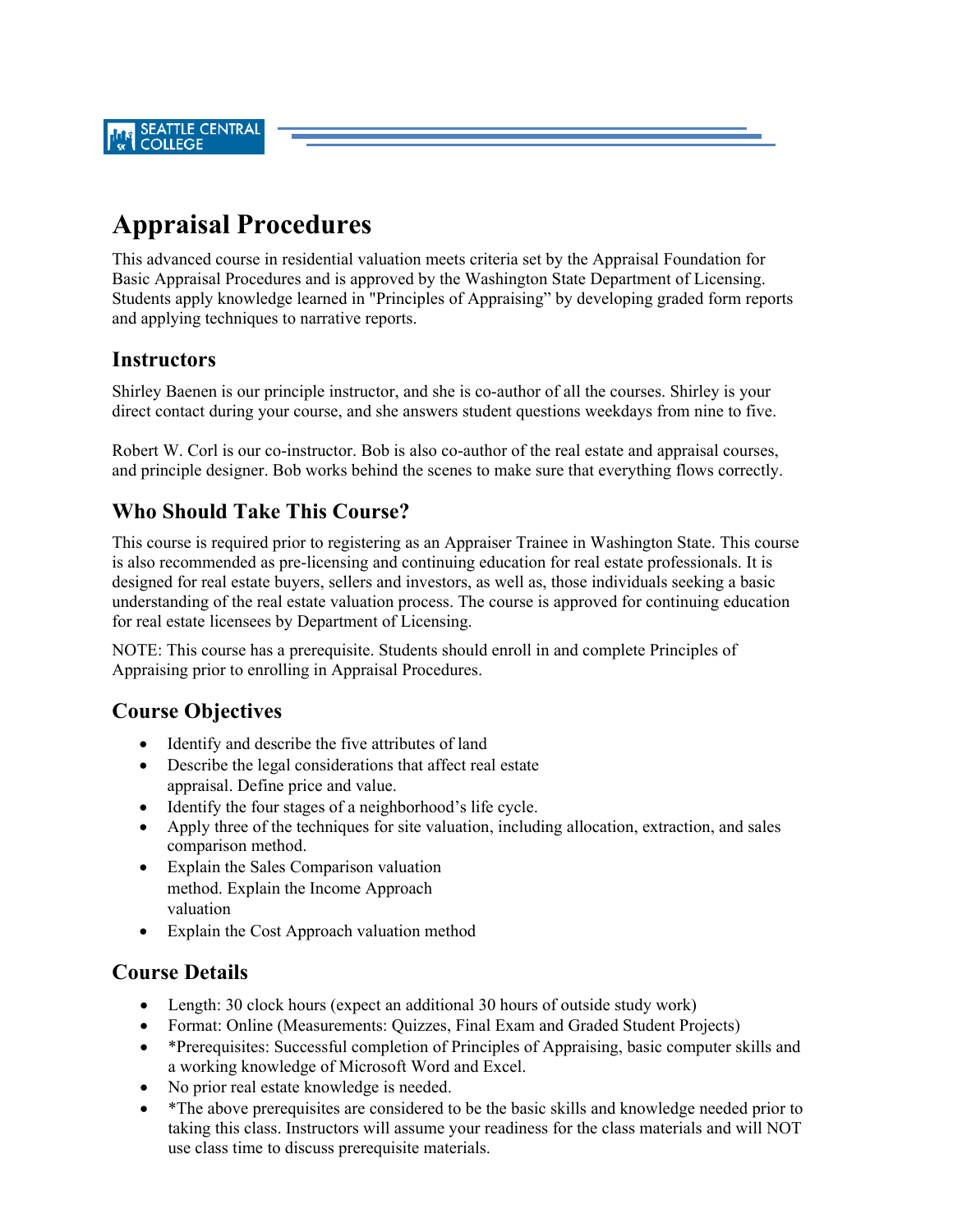# **Appraisal Procedures**

This advanced course in residential valuation meets criteria set by the Appraisal Foundation for Basic Appraisal Procedures and is approved by the Washington State Department of Licensing. Students apply knowledge learned in "Principles of Appraising" by developing graded form reports and applying techniques to narrative reports.

#### **Instructors**

Shirley Baenen is our principle instructor, and she is co-author of all the courses. Shirley is your direct contact during your course, and she answers student questions weekdays from nine to five.

Robert W. Corl is our co-instructor. Bob is also co-author of the real estate and appraisal courses, and principle designer. Bob works behind the scenes to make sure that everything flows correctly.

#### **Who Should Take This Course?**

This course is required prior to registering as an Appraiser Trainee in Washington State. This course is also recommended as pre-licensing and continuing education for real estate professionals. It is designed for real estate buyers, sellers and investors, as well as, those individuals seeking a basic understanding of the real estate valuation process. The course is approved for continuing education for real estate licensees by Department of Licensing.

NOTE: This course has a prerequisite. Students should enroll in and complete Principles of Appraising prior to enrolling in Appraisal Procedures.

## **Course Objectives**

- Identify and describe the five attributes of land
- Describe the legal considerations that affect real estate appraisal. Define price and value.
- Identify the four stages of a neighborhood's life cycle.
- Apply three of the techniques for site valuation, including allocation, extraction, and sales comparison method.
- Explain the Sales Comparison valuation method. Explain the Income Approach valuation
- Explain the Cost Approach valuation method

## **Course Details**

- Length: 30 clock hours (expect an additional 30 hours of outside study work)
- Format: Online (Measurements: Quizzes, Final Exam and Graded Student Projects)
- \*Prerequisites: Successful completion of Principles of Appraising, basic computer skills and a working knowledge of Microsoft Word and Excel.
- No prior real estate knowledge is needed.
- \*The above prerequisites are considered to be the basic skills and knowledge needed prior to taking this class. Instructors will assume your readiness for the class materials and will NOT use class time to discuss prerequisite materials.